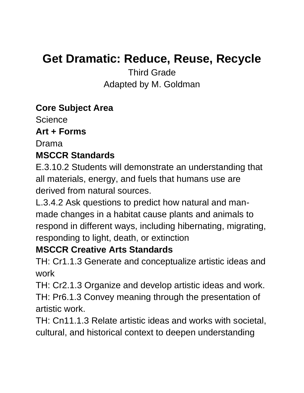# **Get Dramatic: Reduce, Reuse, Recycle**

Third Grade Adapted by M. Goldman

## **Core Subject Area**

**Science** 

#### **Art + Forms**

Drama

# **MSCCR Standards**

E.3.10.2 Students will demonstrate an understanding that all materials, energy, and fuels that humans use are derived from natural sources.

L.3.4.2 Ask questions to predict how natural and manmade changes in a habitat cause plants and animals to respond in different ways, including hibernating, migrating, responding to light, death, or extinction

# **MSCCR Creative Arts Standards**

TH: Cr1.1.3 Generate and conceptualize artistic ideas and work

TH: Cr2.1.3 Organize and develop artistic ideas and work. TH: Pr6.1.3 Convey meaning through the presentation of artistic work.

TH: Cn11.1.3 Relate artistic ideas and works with societal, cultural, and historical context to deepen understanding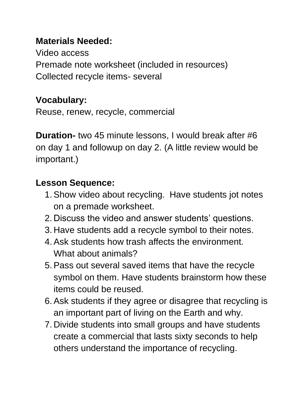# **Materials Needed:**

Video access Premade note worksheet (included in resources) Collected recycle items- several

# **Vocabulary:**

Reuse, renew, recycle, commercial

**Duration-** two 45 minute lessons, I would break after #6 on day 1 and followup on day 2. (A little review would be important.)

# **Lesson Sequence:**

- 1.Show video about recycling. Have students jot notes on a premade worksheet.
- 2. Discuss the video and answer students' questions.
- 3. Have students add a recycle symbol to their notes.
- 4.Ask students how trash affects the environment. What about animals?
- 5.Pass out several saved items that have the recycle symbol on them. Have students brainstorm how these items could be reused.
- 6.Ask students if they agree or disagree that recycling is an important part of living on the Earth and why.
- 7. Divide students into small groups and have students create a commercial that lasts sixty seconds to help others understand the importance of recycling.